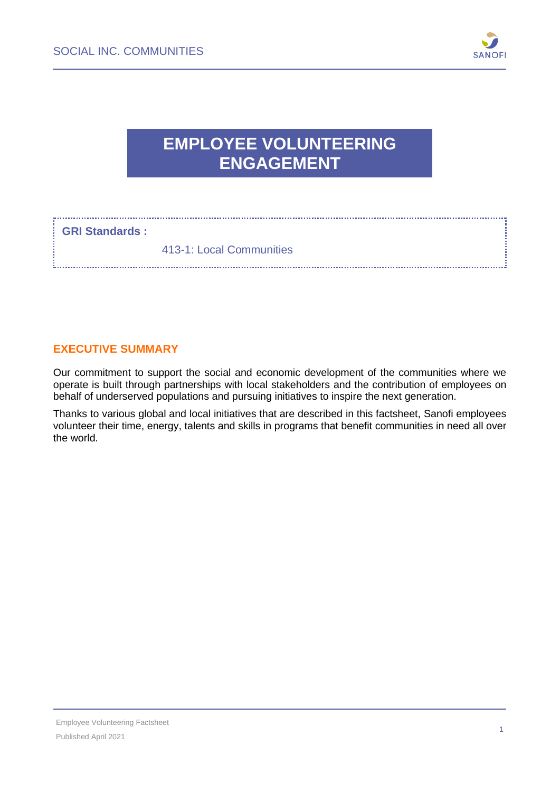

# **EMPLOYEE VOLUNTEERING ENGAGEMENT**

#### **GRI Standards :**

413-1: Local Communities

## **EXECUTIVE SUMMARY**

Our commitment to support the social and economic development of the communities where we operate is built through partnerships with local stakeholders and the contribution of employees on behalf of underserved populations and pursuing initiatives to inspire the next generation.

Thanks to various global and local initiatives that are described in this factsheet, Sanofi employees volunteer their time, energy, talents and skills in programs that benefit communities in need all over the world.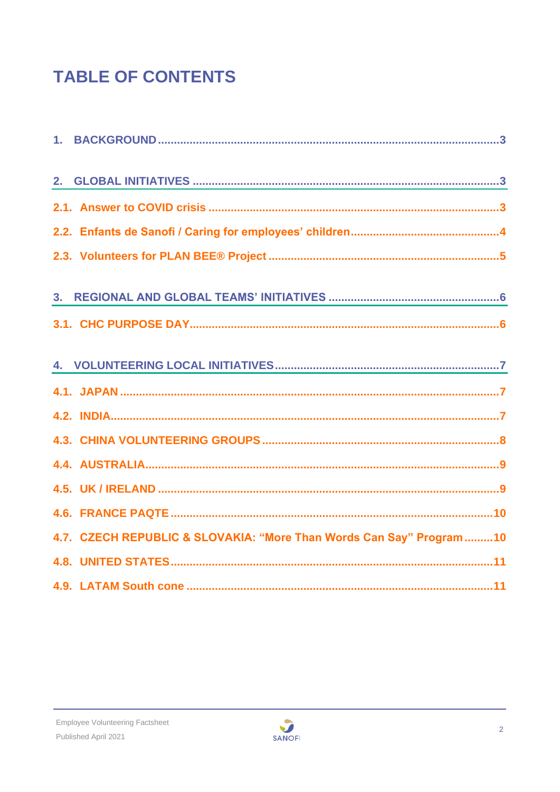# **TABLE OF CONTENTS**

| 4.7. CZECH REPUBLIC & SLOVAKIA: "More Than Words Can Say" Program10 |
|---------------------------------------------------------------------|
|                                                                     |
|                                                                     |

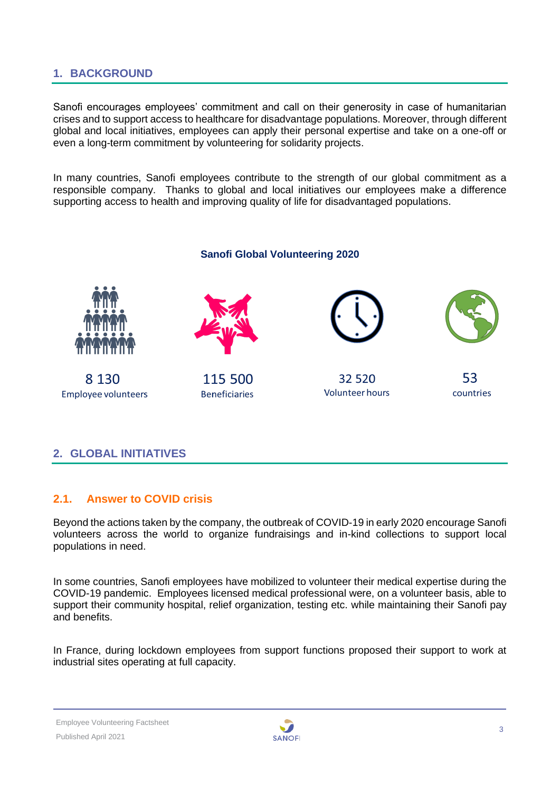## <span id="page-2-0"></span>**1. BACKGROUND**

Sanofi encourages employees' commitment and call on their generosity in case of humanitarian crises and to support access to healthcare for disadvantage populations. Moreover, through different global and local initiatives, employees can apply their personal expertise and take on a one-off or even a long-term commitment by volunteering for solidarity projects.

In many countries, Sanofi employees contribute to the strength of our global commitment as a responsible company. Thanks to global and local initiatives our employees make a difference supporting access to health and improving quality of life for disadvantaged populations.

## **Sanofi Global Volunteering 2020** 8 1 3 0 115 500 32 520 53 **Volunteer hours** countries **Employee volunteers Beneficiaries**

#### <span id="page-2-1"></span>**2. GLOBAL INITIATIVES**

#### <span id="page-2-2"></span>**2.1. Answer to COVID crisis**

Beyond the actions taken by the company, the outbreak of COVID-19 in early 2020 encourage Sanofi volunteers across the world to organize fundraisings and in-kind collections to support local populations in need.

In some countries, Sanofi employees have mobilized to volunteer their medical expertise during the COVID-19 pandemic. Employees licensed medical professional were, on a volunteer basis, able to support their community hospital, relief organization, testing etc. while maintaining their Sanofi pay and benefits.

In France, during lockdown employees from support functions proposed their support to work at industrial sites operating at full capacity.

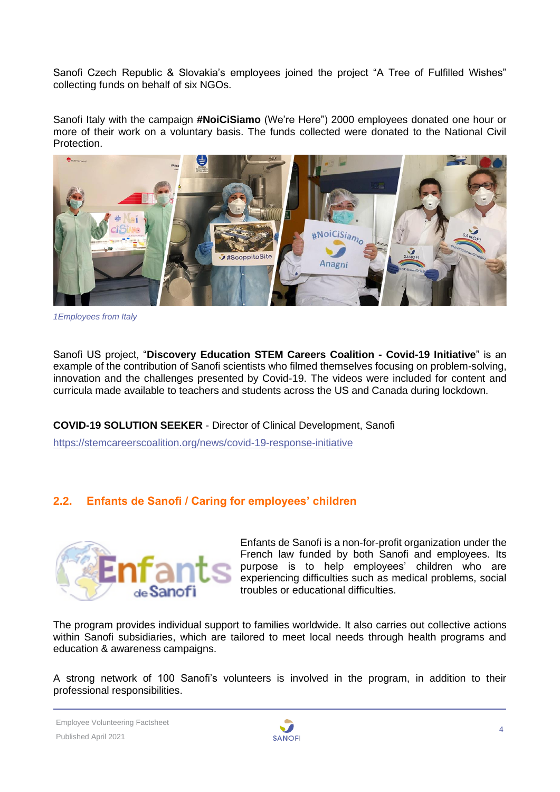Sanofi Czech Republic & Slovakia's employees joined the project "A Tree of Fulfilled Wishes" collecting funds on behalf of six NGOs.

Sanofi Italy with the campaign **#NoiCiSiamo** (We're Here") 2000 employees donated one hour or more of their work on a voluntary basis. The funds collected were donated to the National Civil Protection.



*1Employees from Italy*

Sanofi US project, "**Discovery Education STEM Careers Coalition - Covid-19 Initiative**" is an example of the contribution of Sanofi scientists who filmed themselves focusing on problem-solving, innovation and the challenges presented by Covid-19. The videos were included for content and curricula made available to teachers and students across the US and Canada during lockdown.

**COVID-19 SOLUTION SEEKER** - Director of Clinical Development, Sanofi <https://stemcareerscoalition.org/news/covid-19-response-initiative>

## <span id="page-3-0"></span>**2.2. Enfants de Sanofi / Caring for employees' children**



Enfants de Sanofi is a non-for-profit organization under the French law funded by both Sanofi and employees. Its purpose is to help employees' children who are experiencing difficulties such as medical problems, social troubles or educational difficulties.

The program provides individual support to families worldwide. It also carries out collective actions within Sanofi subsidiaries, which are tailored to meet local needs through health programs and education & awareness campaigns.

A strong network of 100 Sanofi's volunteers is involved in the program, in addition to their professional responsibilities.

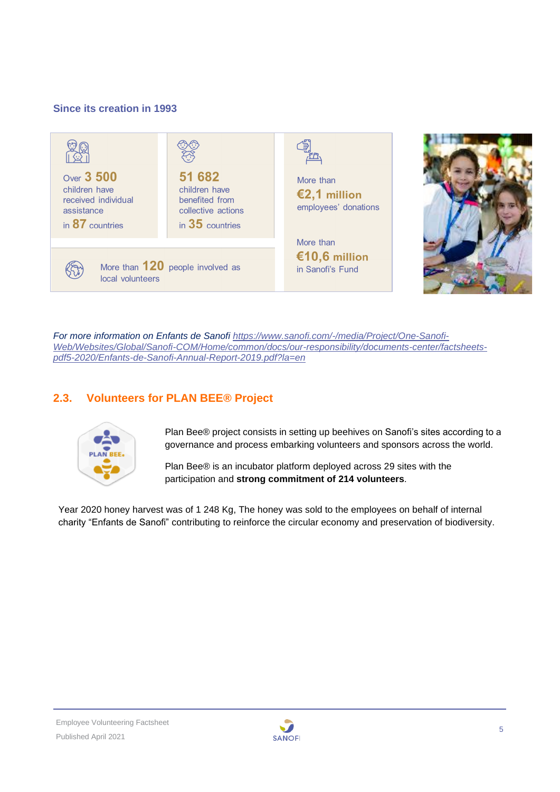#### **Since its creation in 1993**



*For more information on Enfants de Sanofi [https://www.sanofi.com/-/media/Project/One-Sanofi-](https://www.sanofi.com/-/media/Project/One-Sanofi-Web/Websites/Global/Sanofi-COM/Home/common/docs/our-responsibility/documents-center/factsheets-pdf5-2020/Enfants-de-Sanofi-Annual-Report-2019.pdf?la=en)[Web/Websites/Global/Sanofi-COM/Home/common/docs/our-responsibility/documents-center/factsheets](https://www.sanofi.com/-/media/Project/One-Sanofi-Web/Websites/Global/Sanofi-COM/Home/common/docs/our-responsibility/documents-center/factsheets-pdf5-2020/Enfants-de-Sanofi-Annual-Report-2019.pdf?la=en)[pdf5-2020/Enfants-de-Sanofi-Annual-Report-2019.pdf?la=en](https://www.sanofi.com/-/media/Project/One-Sanofi-Web/Websites/Global/Sanofi-COM/Home/common/docs/our-responsibility/documents-center/factsheets-pdf5-2020/Enfants-de-Sanofi-Annual-Report-2019.pdf?la=en)*

## <span id="page-4-0"></span>**2.3. Volunteers for PLAN BEE® Project**



Plan Bee® project consists in setting up beehives on Sanofi's sites according to a governance and process embarking volunteers and sponsors across the world.

Plan Bee® is an incubator platform deployed across 29 sites with the participation and **strong commitment of 214 volunteers**.

Year 2020 honey harvest was of 1 248 Kg, The honey was sold to the employees on behalf of internal charity "Enfants de Sanofi" contributing to reinforce the circular economy and preservation of biodiversity.

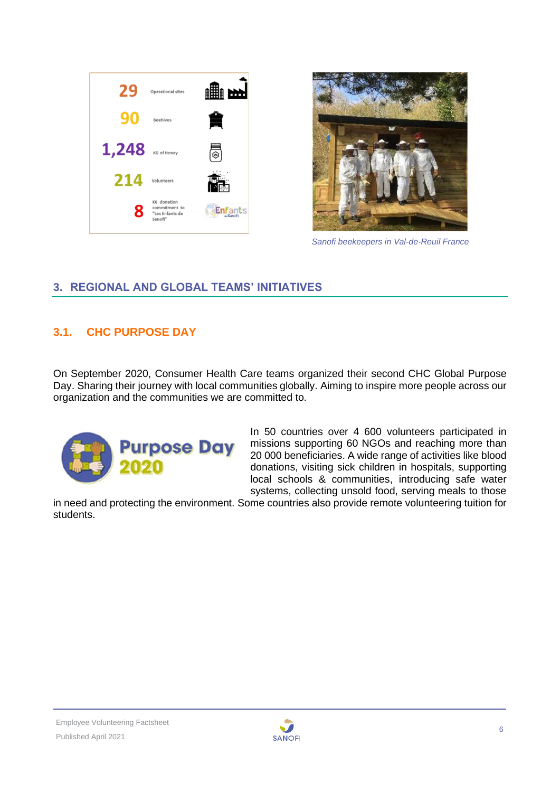



*Sanofi beekeepers in Val-de-Reuil France*

## <span id="page-5-0"></span>**3. REGIONAL AND GLOBAL TEAMS' INITIATIVES**

## <span id="page-5-1"></span>**3.1. CHC PURPOSE DAY**

On September 2020, Consumer Health Care teams organized their second CHC Global Purpose Day. Sharing their journey with local communities globally. Aiming to inspire more people across our organization and the communities we are committed to.



In 50 countries over 4 600 volunteers participated in missions supporting 60 NGOs and reaching more than 20 000 beneficiaries. A wide range of activities like blood donations, visiting sick children in hospitals, supporting local schools & communities, introducing safe water systems, collecting unsold food, serving meals to those

in need and protecting the environment. Some countries also provide remote volunteering tuition for students.

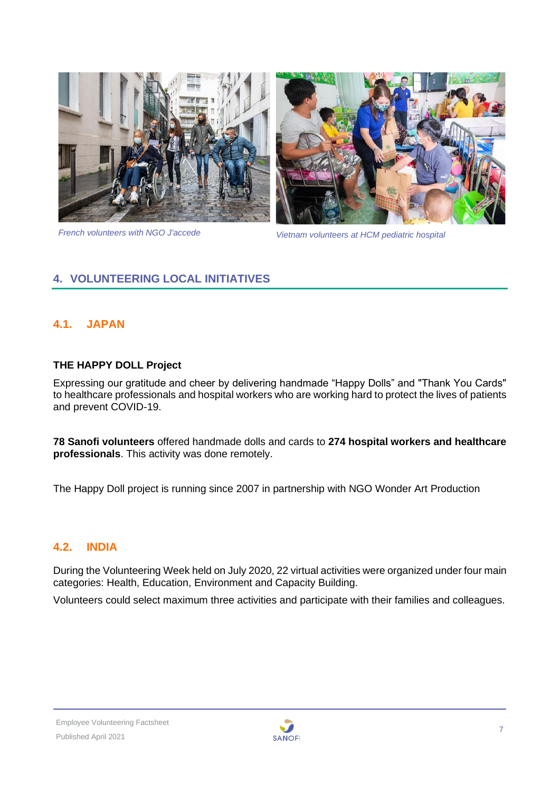



*French volunteers with NGO J'accede Vietnam volunteers at HCM pediatric hospital*

## <span id="page-6-0"></span>**4. VOLUNTEERING LOCAL INITIATIVES**

## <span id="page-6-1"></span>**4.1. JAPAN**

#### **THE HAPPY DOLL Project**

Expressing our gratitude and cheer by delivering handmade "Happy Dolls" and "Thank You Cards" to healthcare professionals and hospital workers who are working hard to protect the lives of patients and prevent COVID-19.

**78 Sanofi volunteers** offered handmade dolls and cards to **274 hospital workers and healthcare professionals**. This activity was done remotely.

The Happy Doll project is running since 2007 in partnership with NGO Wonder Art Production

#### <span id="page-6-2"></span>**4.2. INDIA**

During the Volunteering Week held on July 2020, 22 virtual activities were organized under four main categories: Health, Education, Environment and Capacity Building.

Volunteers could select maximum three activities and participate with their families and colleagues.

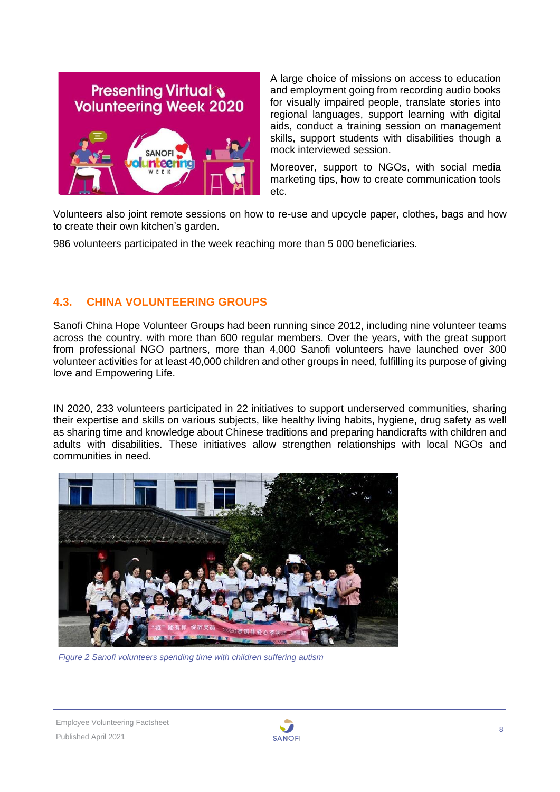

A large choice of missions on access to education and employment going from recording audio books for visually impaired people, translate stories into regional languages, support learning with digital aids, conduct a training session on management skills, support students with disabilities though a mock interviewed session.

Moreover, support to NGOs, with social media marketing tips, how to create communication tools etc.

Volunteers also joint remote sessions on how to re-use and upcycle paper, clothes, bags and how to create their own kitchen's garden.

986 volunteers participated in the week reaching more than 5 000 beneficiaries.

## <span id="page-7-0"></span>**4.3. CHINA VOLUNTEERING GROUPS**

Sanofi China Hope Volunteer Groups had been running since 2012, including nine volunteer teams across the country. with more than 600 regular members. Over the years, with the great support from professional NGO partners, more than 4,000 Sanofi volunteers have launched over 300 volunteer activities for at least 40,000 children and other groups in need, fulfilling its purpose of giving love and Empowering Life.

IN 2020, 233 volunteers participated in 22 initiatives to support underserved communities, sharing their expertise and skills on various subjects, like healthy living habits, hygiene, drug safety as well as sharing time and knowledge about Chinese traditions and preparing handicrafts with children and adults with disabilities. These initiatives allow strengthen relationships with local NGOs and communities in need.



*Figure 2 Sanofi volunteers spending time with children suffering autism*

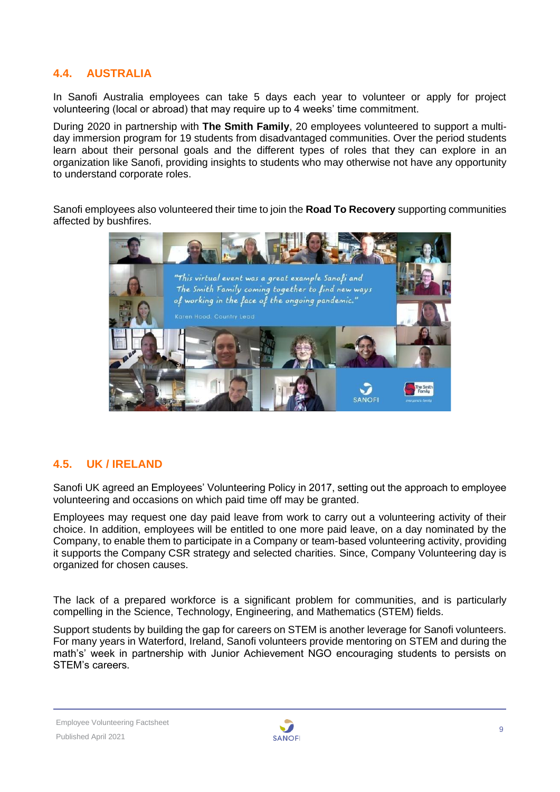## <span id="page-8-0"></span>**4.4. AUSTRALIA**

In Sanofi Australia employees can take 5 days each year to volunteer or apply for project volunteering (local or abroad) that may require up to 4 weeks' time commitment.

During 2020 in partnership with **The Smith Family**, 20 employees volunteered to support a multiday immersion program for 19 students from disadvantaged communities. Over the period students learn about their personal goals and the different types of roles that they can explore in an organization like Sanofi, providing insights to students who may otherwise not have any opportunity to understand corporate roles.

Sanofi employees also volunteered their time to join the **Road To Recovery** supporting communities affected by bushfires.

| "This virtual event was a great example Sanofi and<br>The Smith Family coming together to find new ways<br>of working in the face of the ongoing pandemic." |               |                                          |
|-------------------------------------------------------------------------------------------------------------------------------------------------------------|---------------|------------------------------------------|
| Karen Hood, Country Lead                                                                                                                                    |               |                                          |
|                                                                                                                                                             |               |                                          |
|                                                                                                                                                             | <b>SANOFI</b> | The Smith<br>Familu<br>everyone's family |

## <span id="page-8-1"></span>**4.5. UK / IRELAND**

Sanofi UK agreed an Employees' Volunteering Policy in 2017, setting out the approach to employee volunteering and occasions on which paid time off may be granted.

Employees may request one day paid leave from work to carry out a volunteering activity of their choice. In addition, employees will be entitled to one more paid leave, on a day nominated by the Company, to enable them to participate in a Company or team-based volunteering activity, providing it supports the Company CSR strategy and selected charities. Since, Company Volunteering day is organized for chosen causes.

The lack of a prepared workforce is a significant problem for communities, and is particularly compelling in the Science, Technology, Engineering, and Mathematics (STEM) fields.

Support students by building the gap for careers on STEM is another leverage for Sanofi volunteers. For many years in Waterford, Ireland, Sanofi volunteers provide mentoring on STEM and during the math's' week in partnership with Junior Achievement NGO encouraging students to persists on STEM's careers.

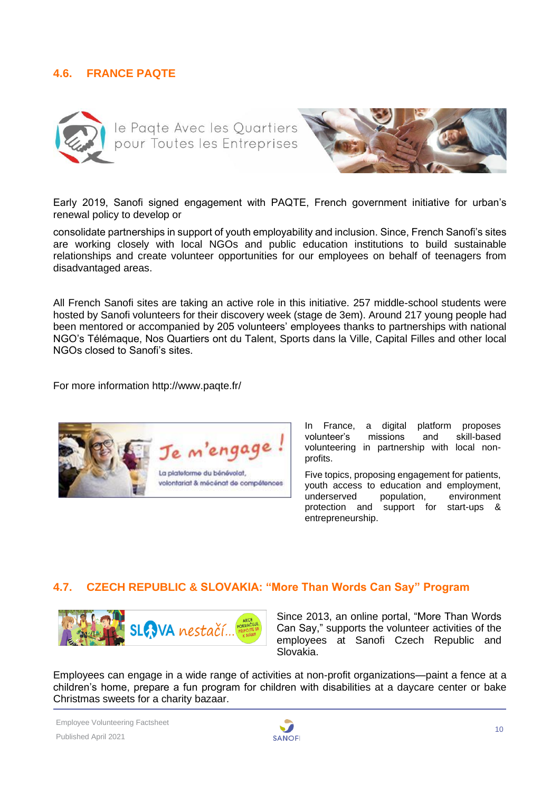## <span id="page-9-0"></span>**4.6. FRANCE PAQTE**





Early 2019, Sanofi signed engagement with PAQTE, French government initiative for urban's renewal policy to develop or

consolidate partnerships in support of youth employability and inclusion. Since, French Sanofi's sites are working closely with local NGOs and public education institutions to build sustainable relationships and create volunteer opportunities for our employees on behalf of teenagers from disadvantaged areas.

All French Sanofi sites are taking an active role in this initiative. 257 middle-school students were hosted by Sanofi volunteers for their discovery week (stage de 3em). Around 217 young people had been mentored or accompanied by 205 volunteers' employees thanks to partnerships with national NGO's Télémaque, Nos Quartiers ont du Talent, Sports dans la Ville, Capital Filles and other local NGOs closed to Sanofi's sites.

For more information http://www.paqte.fr/



In France, a digital platform proposes<br>volunteer's missions and skill-based missions and volunteering in partnership with local nonprofits.

Five topics, proposing engagement for patients, youth access to education and employment, underserved population, environment protection and support for start-ups & entrepreneurship.

#### <span id="page-9-1"></span>**4.7. CZECH REPUBLIC & SLOVAKIA: "More Than Words Can Say" Program**



Since 2013, an online portal, "More Than Words Can Say," supports the volunteer activities of the employees at Sanofi Czech Republic and Slovakia.

Employees can engage in a wide range of activities at non-profit organizations—paint a fence at a children's home, prepare a fun program for children with disabilities at a daycare center or bake Christmas sweets for a charity bazaar.

Employee Volunteering Factsheet Published April 2021

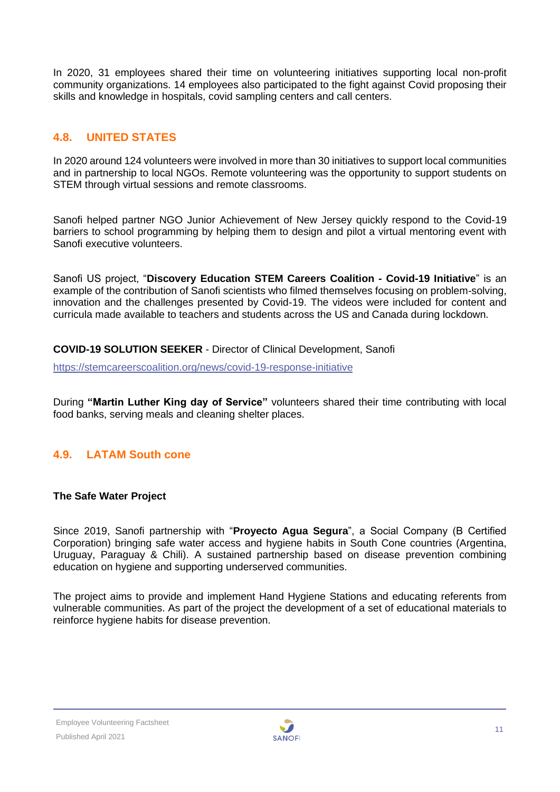In 2020, 31 employees shared their time on volunteering initiatives supporting local non-profit community organizations. 14 employees also participated to the fight against Covid proposing their skills and knowledge in hospitals, covid sampling centers and call centers.

## <span id="page-10-0"></span>**4.8. UNITED STATES**

In 2020 around 124 volunteers were involved in more than 30 initiatives to support local communities and in partnership to local NGOs. Remote volunteering was the opportunity to support students on STEM through virtual sessions and remote classrooms.

Sanofi helped partner NGO Junior Achievement of New Jersey quickly respond to the Covid-19 barriers to school programming by helping them to design and pilot a virtual mentoring event with Sanofi executive volunteers.

Sanofi US project, "**Discovery Education STEM Careers Coalition - Covid-19 Initiative**" is an example of the contribution of Sanofi scientists who filmed themselves focusing on problem-solving, innovation and the challenges presented by Covid-19. The videos were included for content and curricula made available to teachers and students across the US and Canada during lockdown.

**COVID-19 SOLUTION SEEKER** - Director of Clinical Development, Sanofi

<https://stemcareerscoalition.org/news/covid-19-response-initiative>

During **"Martin Luther King day of Service"** volunteers shared their time contributing with local food banks, serving meals and cleaning shelter places.

## <span id="page-10-1"></span>**4.9. LATAM South cone**

#### **The Safe Water Project**

Since 2019, Sanofi partnership with "**Proyecto Agua Segura**", a Social Company (B Certified Corporation) bringing safe water access and hygiene habits in South Cone countries (Argentina, Uruguay, Paraguay & Chili). A sustained partnership based on disease prevention combining education on hygiene and supporting underserved communities.

The project aims to provide and implement Hand Hygiene Stations and educating referents from vulnerable communities. As part of the project the development of a set of educational materials to reinforce hygiene habits for disease prevention.